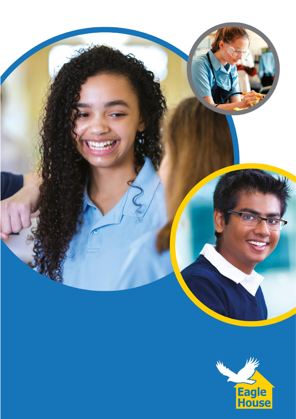

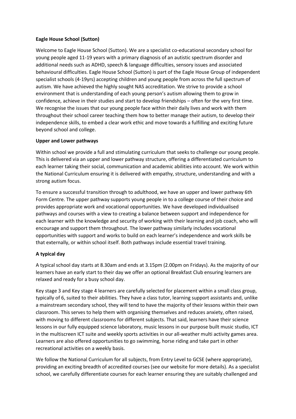# **Eagle House School (Sutton)**

Welcome to Eagle House School (Sutton). We are a specialist co-educational secondary school for young people aged 11-19 years with a primary diagnosis of an autistic spectrum disorder and additional needs such as ADHD, speech & language difficulties, sensory issues and associated behavioural difficulties. Eagle House School (Sutton) is part of the Eagle House Group of independent specialist schools (4-19yrs) accepting children and young people from across the full spectrum of autism. We have achieved the highly sought NAS accreditation. We strive to provide a school environment that is understanding of each young person's autism allowing them to grow in confidence, achieve in their studies and start to develop friendships – often for the very first time. We recognise the issues that our young people face within their daily lives and work with them throughout their school career teaching them how to better manage their autism, to develop their independence skills, to embed a clear work ethic and move towards a fulfilling and exciting future beyond school and college.

## **Upper and Lower pathways**

Within school we provide a full and stimulating curriculum that seeks to challenge our young people. This is delivered via an upper and lower pathway structure, offering a differentiated curriculum to each learner taking their social, communication and academic abilities into account. We work within the National Curriculum ensuring it is delivered with empathy, structure, understanding and with a strong autism focus.

To ensure a successful transition through to adulthood, we have an upper and lower pathway 6th Form Centre. The upper pathway supports young people in to a college course of their choice and provides appropriate work and vocational opportunities. We have developed individualised pathways and courses with a view to creating a balance between support and independence for each learner with the knowledge and security of working with their learning and job coach, who will encourage and support them throughout. The lower pathway similarly includes vocational opportunities with support and works to build on each learner's independence and work skills be that externally, or within school itself. Both pathways include essential travel training.

# **A typical day**

A typical school day starts at 8.30am and ends at 3.15pm (2.00pm on Fridays). As the majority of our learners have an early start to their day we offer an optional Breakfast Club ensuring learners are relaxed and ready for a busy school day.

Key stage 3 and Key stage 4 learners are carefully selected for placement within a small class group, typically of 6, suited to their abilities. They have a class tutor, learning support assistants and, unlike a mainstream secondary school, they will tend to have the majority of their lessons within their own classroom. This serves to help them with organising themselves and reduces anxiety, often raised, with moving to different classrooms for different subjects. That said, learners have their science lessons in our fully equipped science laboratory, music lessons in our purpose built music studio, ICT in the multiscreen ICT suite and weekly sports activities in our all-weather multi activity games area. Learners are also offered opportunities to go swimming, horse riding and take part in other recreational activities on a weekly basis.

We follow the National Curriculum for all subjects, from Entry Level to GCSE (where appropriate), providing an exciting breadth of accredited courses (see our website for more details). As a specialist school, we carefully differentiate courses for each learner ensuring they are suitably challenged and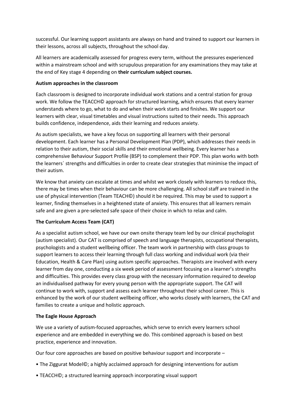successful. Our learning support assistants are always on hand and trained to support our learners in their lessons, across all subjects, throughout the school day.

All learners are academically assessed for progress every term, without the pressures experienced within a mainstream school and with scrupulous preparation for any examinations they may take at the end of Key stage 4 depending on **their curriculum subject courses.**

## **Autism approaches in the classroom**

Each classroom is designed to incorporate individual work stations and a central station for group work. We follow the TEACCH© approach for structured learning, which ensures that every learner understands where to go, what to do and when their work starts and finishes. We support our learners with clear, visual timetables and visual instructions suited to their needs. This approach builds confidence, independence, aids their learning and reduces anxiety.

As autism specialists, we have a key focus on supporting all learners with their personal development. Each learner has a Personal Development Plan (PDP), which addresses their needs in relation to their autism, their social skills and their emotional wellbeing. Every learner has a comprehensive Behaviour Support Profile (BSP) to complement their PDP. This plan works with both the learners` strengths and difficulties in order to create clear strategies that minimise the impact of their autism.

We know that anxiety can escalate at times and whilst we work closely with learners to reduce this, there may be times when their behaviour can be more challenging. All school staff are trained in the use of physical intervention (Team TEACH©) should it be required. This may be used to support a learner, finding themselves in a heightened state of anxiety. This ensures that all learners remain safe and are given a pre-selected safe space of their choice in which to relax and calm.

# **The Curriculum Access Team (CAT)**

As a specialist autism school, we have our own onsite therapy team led by our clinical psychologist (autism specialist). Our CAT is comprised of speech and language therapists, occupational therapists, psychologists and a student wellbeing officer. The team work in partnership with class groups to support learners to access their learning through full class working and individual work (via their Education, Health & Care Plan) using autism specific approaches. Therapists are involved with every learner from day one, conducting a six week period of assessment focusing on a learner's strengths and difficulties. This provides every class group with the necessary information required to develop an individualised pathway for every young person with the appropriate support. The CAT will continue to work with, support and assess each learner throughout their school career. This is enhanced by the work of our student wellbeing officer, who works closely with learners, the CAT and families to create a unique and holistic approach.

### **The Eagle House Approach**

We use a variety of autism-focused approaches, which serve to enrich every learners school experience and are embedded in everything we do. This combined approach is based on best practice, experience and innovation.

Our four core approaches are based on positive behaviour support and incorporate –

- The Ziggurat Model©; a highly acclaimed approach for designing interventions for autism
- TEACCH©; a structured learning approach incorporating visual support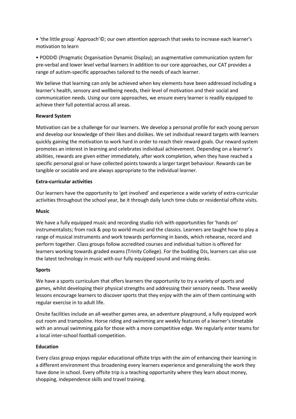• 'the little group` Approach'©; our own attention approach that seeks to increase each learner's motivation to learn

• PODD© (Pragmatic Organisation Dynamic Display); an augmentative communication system for pre-verbal and lower level verbal learners In addition to our core approaches, our CAT provides a range of autism-specific approaches tailored to the needs of each learner.

We believe that learning can only be achieved when key elements have been addressed including a learner's health, sensory and wellbeing needs, their level of motivation and their social and communication needs. Using our core approaches, we ensure every learner is readily equipped to achieve their full potential across all areas.

## **Reward System**

Motivation can be a challenge for our learners. We develop a personal profile for each young person and develop our knowledge of their likes and dislikes. We set individual reward targets with learners quickly gaining the motivation to work hard in order to reach their reward goals. Our reward system promotes an interest in learning and celebrates individual achievement. Depending on a learner's abilities, rewards are given either immediately, after work completion, when they have reached a specific personal goal or have collected points towards a larger target behaviour. Rewards can be tangible or sociable and are always appropriate to the individual learner.

## **Extra-curricular activities**

Our learners have the opportunity to 'get involved' and experience a wide variety of extra-curricular activities throughout the school year, be it through daily lunch time clubs or residential offsite visits.

### **Music**

We have a fully equipped music and recording studio rich with opportunities for 'hands on' instrumentalists; from rock & pop to world music and the classics. Learners are taught how to play a range of musical instruments and work towards performing in bands, which rehearse, record and perform together. Class groups follow accredited courses and individual tuition is offered for learners working towards graded exams (Trinity College). For the budding DJs, learners can also use the latest technology in music with our fully equipped sound and mixing desks.

### **Sports**

We have a sports curriculum that offers learners the opportunity to try a variety of sports and games, whilst developing their physical strengths and addressing their sensory needs. These weekly lessons encourage learners to discover sports that they enjoy with the aim of them continuing with regular exercise in to adult life.

Onsite facilities include an all-weather games area, an adventure playground, a fully equipped work out room and trampoline. Horse riding and swimming are weekly features of a learner's timetable with an annual swimming gala for those with a more competitive edge. We regularly enter teams for a local inter-school football competition.

# **Education**

Every class group enjoys regular educational offsite trips with the aim of enhancing their learning in a different environment thus broadening every learners experience and generalising the work they have done in school. Every offsite trip is a teaching opportunity where they learn about money, shopping, independence skills and travel training.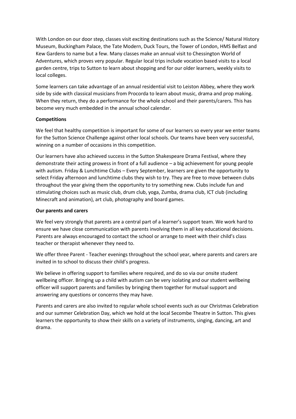With London on our door step, classes visit exciting destinations such as the Science/ Natural History Museum, Buckingham Palace, the Tate Modern, Duck Tours, the Tower of London, HMS Belfast and Kew Gardens to name but a few. Many classes make an annual visit to Chessington World of Adventures, which proves very popular. Regular local trips include vocation based visits to a local garden centre, trips to Sutton to learn about shopping and for our older learners, weekly visits to local colleges.

Some learners can take advantage of an annual residential visit to Leiston Abbey, where they work side by side with classical musicians from Procorda to learn about music, drama and prop making. When they return, they do a performance for the whole school and their parents/carers. This has become very much embedded in the annual school calendar.

# **Competitions**

We feel that healthy competition is important for some of our learners so every year we enter teams for the Sutton Science Challenge against other local schools. Our teams have been very successful, winning on a number of occasions in this competition.

Our learners have also achieved success in the Sutton Shakespeare Drama Festival, where they demonstrate their acting prowess in front of a full audience – a big achievement for young people with autism. Friday & Lunchtime Clubs – Every September, learners are given the opportunity to select Friday afternoon and lunchtime clubs they wish to try. They are free to move between clubs throughout the year giving them the opportunity to try something new. Clubs include fun and stimulating choices such as music club, drum club, yoga, Zumba, drama club, ICT club (including Minecraft and animation), art club, photography and board games.

### **Our parents and carers**

We feel very strongly that parents are a central part of a learner's support team. We work hard to ensure we have close communication with parents involving them in all key educational decisions. Parents are always encouraged to contact the school or arrange to meet with their child's class teacher or therapist whenever they need to.

We offer three Parent - Teacher evenings throughout the school year, where parents and carers are invited in to school to discuss their child's progress.

We believe in offering support to families where required, and do so via our onsite student wellbeing officer. Bringing up a child with autism can be very isolating and our student wellbeing officer will support parents and families by bringing them together for mutual support and answering any questions or concerns they may have.

Parents and carers are also invited to regular whole school events such as our Christmas Celebration and our summer Celebration Day, which we hold at the local Secombe Theatre in Sutton. This gives learners the opportunity to show their skills on a variety of instruments, singing, dancing, art and drama.